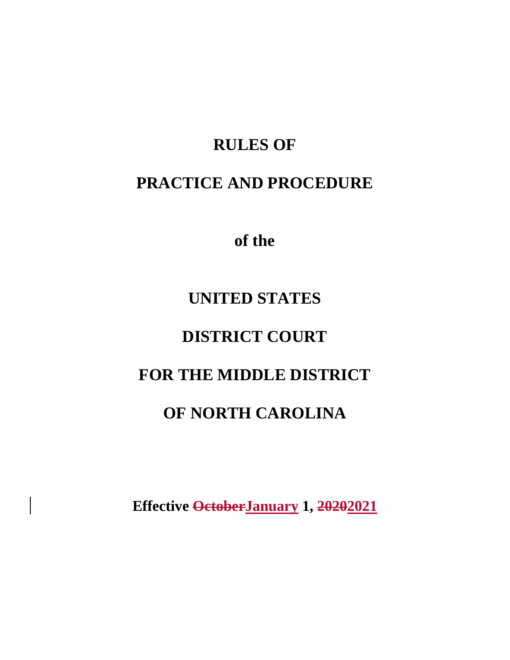# **RULES OF**

# **PRACTICE AND PROCEDURE**

 **of the** 

# **UNITED STATES**

# **DISTRICT COURT**

# **FOR THE MIDDLE DISTRICT**

# **OF NORTH CAROLINA**

**Effective OctoberJanuary 1, 20202021**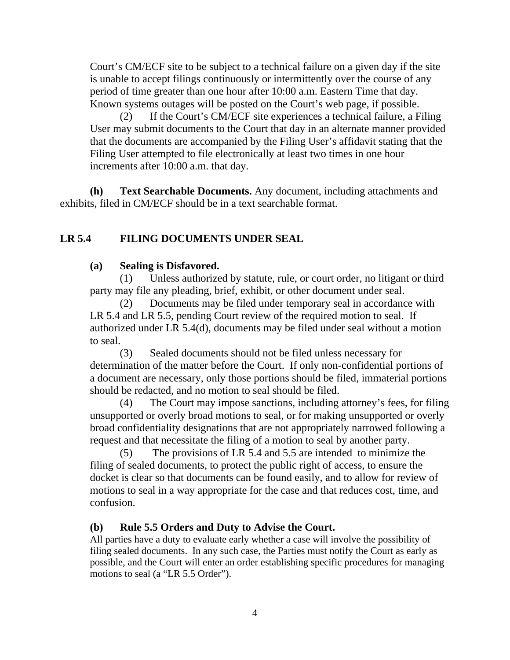Court's CM/ECF site to be subject to a technical failure on a given day if the site is unable to accept filings continuously or intermittently over the course of any period of time greater than one hour after 10:00 a.m. Eastern Time that day. Known systems outages will be posted on the Court's web page, if possible.

 (2) If the Court's CM/ECF site experiences a technical failure, a Filing User may submit documents to the Court that day in an alternate manner provided that the documents are accompanied by the Filing User's affidavit stating that the Filing User attempted to file electronically at least two times in one hour increments after 10:00 a.m. that day.

 **(h) Text Searchable Documents.** Any document, including attachments and exhibits, filed in CM/ECF should be in a text searchable format.

## **LR 5.4 FILING DOCUMENTS UNDER SEAL**

### **(a) Sealing is Disfavored.**

(1) Unless authorized by statute, rule, or court order, no litigant or third party may file any pleading, brief, exhibit, or other document under seal.

(2) Documents may be filed under temporary seal in accordance with LR 5.4 and LR 5.5, pending Court review of the required motion to seal. If authorized under LR 5.4(d), documents may be filed under seal without a motion to seal.

(3) Sealed documents should not be filed unless necessary for determination of the matter before the Court. If only non-confidential portions of a document are necessary, only those portions should be filed, immaterial portions should be redacted, and no motion to seal should be filed.

(4) The Court may impose sanctions, including attorney's fees, for filing unsupported or overly broad motions to seal, or for making unsupported or overly broad confidentiality designations that are not appropriately narrowed following a request and that necessitate the filing of a motion to seal by another party.

(5) The provisions of LR 5.4 and 5.5 are intended to minimize the filing of sealed documents, to protect the public right of access, to ensure the docket is clear so that documents can be found easily, and to allow for review of motions to seal in a way appropriate for the case and that reduces cost, time, and confusion.

## **(b) Rule 5.5 Orders and Duty to Advise the Court.**

All parties have a duty to evaluate early whether a case will involve the possibility of filing sealed documents. In any such case, the Parties must notify the Court as early as possible, and the Court will enter an order establishing specific procedures for managing motions to seal (a "LR 5.5 Order").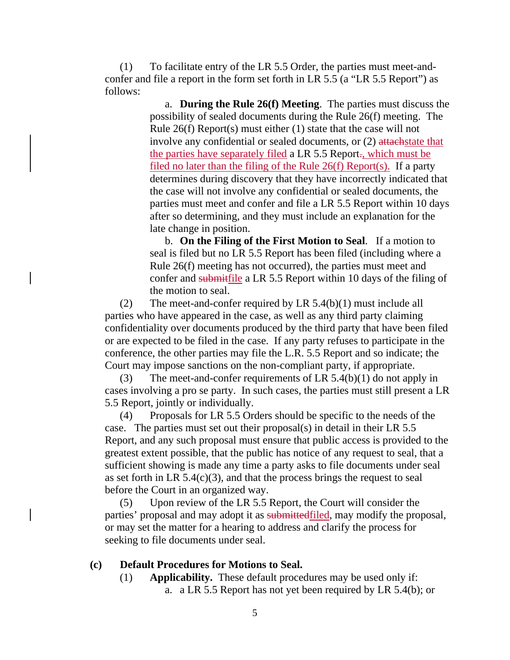(1) To facilitate entry of the LR 5.5 Order, the parties must meet-andconfer and file a report in the form set forth in LR 5.5 (a "LR 5.5 Report") as follows:

> a. **During the Rule 26(f) Meeting**. The parties must discuss the possibility of sealed documents during the Rule 26(f) meeting. The Rule 26(f) Report(s) must either (1) state that the case will not involve any confidential or sealed documents, or (2) attachestate that the parties have separately filed a LR 5.5 Report., which must be filed no later than the filing of the Rule 26(f) Report(s). If a party determines during discovery that they have incorrectly indicated that the case will not involve any confidential or sealed documents, the parties must meet and confer and file a LR 5.5 Report within 10 days after so determining, and they must include an explanation for the late change in position.

> b. **On the Filing of the First Motion to Seal**. If a motion to seal is filed but no LR 5.5 Report has been filed (including where a Rule 26(f) meeting has not occurred), the parties must meet and confer and submitfile a LR 5.5 Report within 10 days of the filing of the motion to seal.

(2) The meet-and-confer required by LR 5.4(b)(1) must include all parties who have appeared in the case, as well as any third party claiming confidentiality over documents produced by the third party that have been filed or are expected to be filed in the case. If any party refuses to participate in the conference, the other parties may file the L.R. 5.5 Report and so indicate; the Court may impose sanctions on the non-compliant party, if appropriate.

(3) The meet-and-confer requirements of LR 5.4(b)(1) do not apply in cases involving a pro se party. In such cases, the parties must still present a LR 5.5 Report, jointly or individually.

(4) Proposals for LR 5.5 Orders should be specific to the needs of the case. The parties must set out their proposal(s) in detail in their LR 5.5 Report, and any such proposal must ensure that public access is provided to the greatest extent possible, that the public has notice of any request to seal, that a sufficient showing is made any time a party asks to file documents under seal as set forth in LR  $5.4(c)(3)$ , and that the process brings the request to seal before the Court in an organized way.

(5) Upon review of the LR 5.5 Report, the Court will consider the parties' proposal and may adopt it as submittedfiled, may modify the proposal, or may set the matter for a hearing to address and clarify the process for seeking to file documents under seal.

#### **(c) Default Procedures for Motions to Seal.**

(1) **Applicability.** These default procedures may be used only if: a. a LR 5.5 Report has not yet been required by LR 5.4(b); or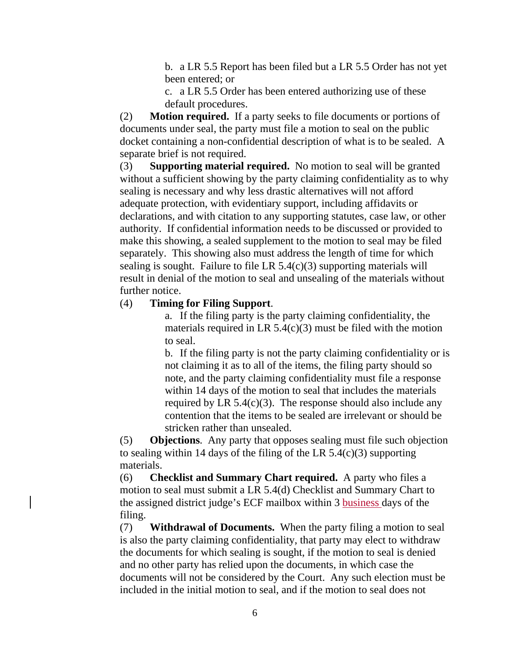b. a LR 5.5 Report has been filed but a LR 5.5 Order has not yet been entered; or

c. a LR 5.5 Order has been entered authorizing use of these default procedures.

(2) **Motion required.** If a party seeks to file documents or portions of documents under seal, the party must file a motion to seal on the public docket containing a non-confidential description of what is to be sealed. A separate brief is not required.

(3) **Supporting material required.** No motion to seal will be granted without a sufficient showing by the party claiming confidentiality as to why sealing is necessary and why less drastic alternatives will not afford adequate protection, with evidentiary support, including affidavits or declarations, and with citation to any supporting statutes, case law, or other authority. If confidential information needs to be discussed or provided to make this showing, a sealed supplement to the motion to seal may be filed separately. This showing also must address the length of time for which sealing is sought. Failure to file LR  $5.4(c)(3)$  supporting materials will result in denial of the motion to seal and unsealing of the materials without further notice.

### (4) **Timing for Filing Support**.

a. If the filing party is the party claiming confidentiality, the materials required in LR  $5.4(c)(3)$  must be filed with the motion to seal.

b. If the filing party is not the party claiming confidentiality or is not claiming it as to all of the items, the filing party should so note, and the party claiming confidentiality must file a response within 14 days of the motion to seal that includes the materials required by LR  $5.4(c)(3)$ . The response should also include any contention that the items to be sealed are irrelevant or should be stricken rather than unsealed.

(5) **Objections**. Any party that opposes sealing must file such objection to sealing within 14 days of the filing of the LR 5.4(c)(3) supporting materials.

(6) **Checklist and Summary Chart required.** A party who files a motion to seal must submit a LR 5.4(d) Checklist and Summary Chart to the assigned district judge's ECF mailbox within 3 business days of the filing.

(7) **Withdrawal of Documents.** When the party filing a motion to seal is also the party claiming confidentiality, that party may elect to withdraw the documents for which sealing is sought, if the motion to seal is denied and no other party has relied upon the documents, in which case the documents will not be considered by the Court. Any such election must be included in the initial motion to seal, and if the motion to seal does not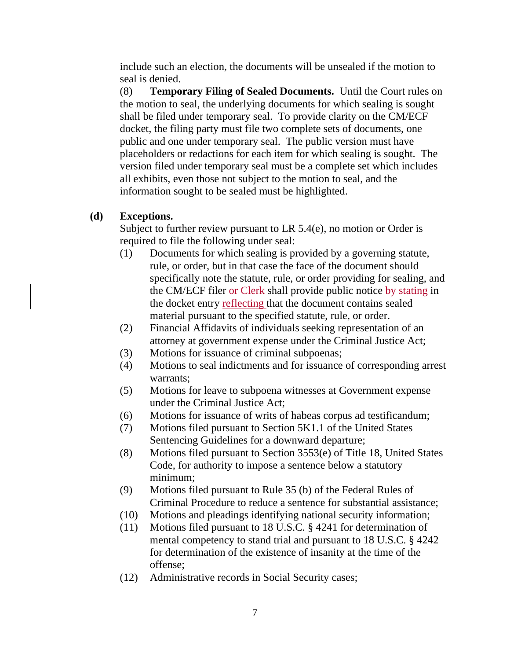include such an election, the documents will be unsealed if the motion to seal is denied.

(8) **Temporary Filing of Sealed Documents.** Until the Court rules on the motion to seal, the underlying documents for which sealing is sought shall be filed under temporary seal. To provide clarity on the CM/ECF docket, the filing party must file two complete sets of documents, one public and one under temporary seal. The public version must have placeholders or redactions for each item for which sealing is sought. The version filed under temporary seal must be a complete set which includes all exhibits, even those not subject to the motion to seal, and the information sought to be sealed must be highlighted.

### **(d) Exceptions.**

Subject to further review pursuant to LR 5.4(e), no motion or Order is required to file the following under seal:

- (1) Documents for which sealing is provided by a governing statute, rule, or order, but in that case the face of the document should specifically note the statute, rule, or order providing for sealing, and the CM/ECF filer or Clerk shall provide public notice by stating in the docket entry reflecting that the document contains sealed material pursuant to the specified statute, rule, or order.
- (2) Financial Affidavits of individuals seeking representation of an attorney at government expense under the Criminal Justice Act;
- (3) Motions for issuance of criminal subpoenas;
- (4) Motions to seal indictments and for issuance of corresponding arrest warrants;
- (5) Motions for leave to subpoena witnesses at Government expense under the Criminal Justice Act;
- (6) Motions for issuance of writs of habeas corpus ad testificandum;
- (7) Motions filed pursuant to Section 5K1.1 of the United States Sentencing Guidelines for a downward departure;
- (8) Motions filed pursuant to Section 3553(e) of Title 18, United States Code, for authority to impose a sentence below a statutory minimum;
- (9) Motions filed pursuant to Rule 35 (b) of the Federal Rules of Criminal Procedure to reduce a sentence for substantial assistance;
- (10) Motions and pleadings identifying national security information;
- (11) Motions filed pursuant to 18 U.S.C. § 4241 for determination of mental competency to stand trial and pursuant to 18 U.S.C. § 4242 for determination of the existence of insanity at the time of the offense;
- (12) Administrative records in Social Security cases;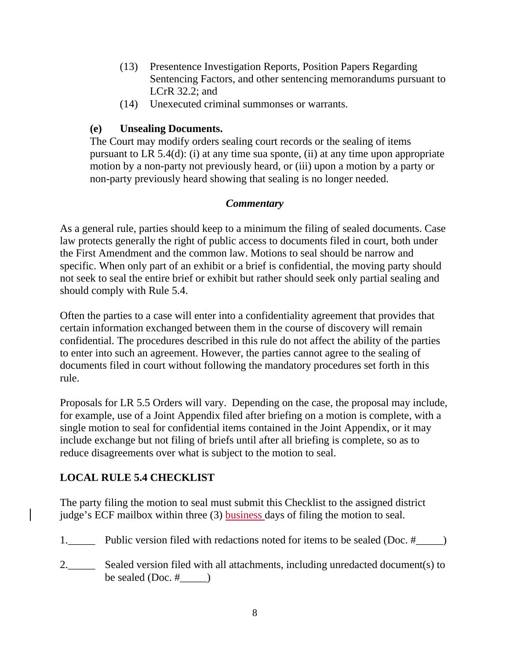- (13) Presentence Investigation Reports, Position Papers Regarding Sentencing Factors, and other sentencing memorandums pursuant to LCrR 32.2; and
- (14) Unexecuted criminal summonses or warrants.

## **(e) Unsealing Documents.**

The Court may modify orders sealing court records or the sealing of items pursuant to LR 5.4(d): (i) at any time sua sponte, (ii) at any time upon appropriate motion by a non-party not previously heard, or (iii) upon a motion by a party or non-party previously heard showing that sealing is no longer needed.

## *Commentary*

As a general rule, parties should keep to a minimum the filing of sealed documents. Case law protects generally the right of public access to documents filed in court, both under the First Amendment and the common law. Motions to seal should be narrow and specific. When only part of an exhibit or a brief is confidential, the moving party should not seek to seal the entire brief or exhibit but rather should seek only partial sealing and should comply with Rule 5.4.

Often the parties to a case will enter into a confidentiality agreement that provides that certain information exchanged between them in the course of discovery will remain confidential. The procedures described in this rule do not affect the ability of the parties to enter into such an agreement. However, the parties cannot agree to the sealing of documents filed in court without following the mandatory procedures set forth in this rule.

Proposals for LR 5.5 Orders will vary. Depending on the case, the proposal may include, for example, use of a Joint Appendix filed after briefing on a motion is complete, with a single motion to seal for confidential items contained in the Joint Appendix, or it may include exchange but not filing of briefs until after all briefing is complete, so as to reduce disagreements over what is subject to the motion to seal.

## **LOCAL RULE 5.4 CHECKLIST**

The party filing the motion to seal must submit this Checklist to the assigned district judge's ECF mailbox within three (3) **business** days of filing the motion to seal.

- 1.\_\_\_\_\_ Public version filed with redactions noted for items to be sealed (Doc. #\_\_\_\_)
- 2.\_\_\_\_\_\_ Sealed version filed with all attachments, including unredacted document(s) to be sealed  $(Doc. #$   $)$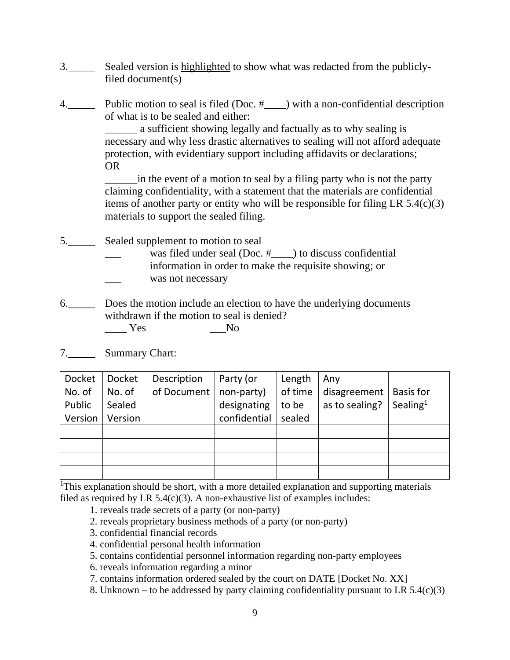- 3.\_\_\_\_\_ Sealed version is highlighted to show what was redacted from the publiclyfiled document(s)
- 4. Public motion to seal is filed (Doc. #\_\_\_) with a non-confidential description of what is to be sealed and either:

 \_\_\_\_\_\_ a sufficient showing legally and factually as to why sealing is necessary and why less drastic alternatives to sealing will not afford adequate protection, with evidentiary support including affidavits or declarations; OR

 \_\_\_\_\_\_in the event of a motion to seal by a filing party who is not the party claiming confidentiality, with a statement that the materials are confidential items of another party or entity who will be responsible for filing LR  $5.4(c)(3)$ materials to support the sealed filing.

- 5.\_\_\_\_\_ Sealed supplement to motion to seal
	- was filed under seal (Doc.  $#$ ) to discuss confidential information in order to make the requisite showing; or was not necessary
	-
- 6.\_\_\_\_\_ Does the motion include an election to have the underlying documents withdrawn if the motion to seal is denied?
	- $\frac{1}{\sqrt{1-\frac{1}{c}}}\text{Yes}$  No
- 7.\_\_\_\_\_ Summary Chart:

| Docket  | Docket  | Description | Party (or    | Length  | Any                            |                      |
|---------|---------|-------------|--------------|---------|--------------------------------|----------------------|
| No. of  | No. of  | of Document | non-party)   | of time | disagreement $\vert$ Basis for |                      |
| Public  | Sealed  |             | designating  | to be   | as to sealing?                 | Sealing <sup>1</sup> |
| Version | Version |             | confidential | sealed  |                                |                      |
|         |         |             |              |         |                                |                      |
|         |         |             |              |         |                                |                      |
|         |         |             |              |         |                                |                      |
|         |         |             |              |         |                                |                      |

<sup>1</sup>This explanation should be short, with a more detailed explanation and supporting materials filed as required by LR  $5.4(c)(3)$ . A non-exhaustive list of examples includes:

- 1. reveals trade secrets of a party (or non-party)
- 2. reveals proprietary business methods of a party (or non-party)
- 3. confidential financial records
- 4. confidential personal health information
- 5. contains confidential personnel information regarding non-party employees
- 6. reveals information regarding a minor
- 7. contains information ordered sealed by the court on DATE [Docket No. XX]
- 8. Unknown to be addressed by party claiming confidentiality pursuant to LR  $5.4(c)(3)$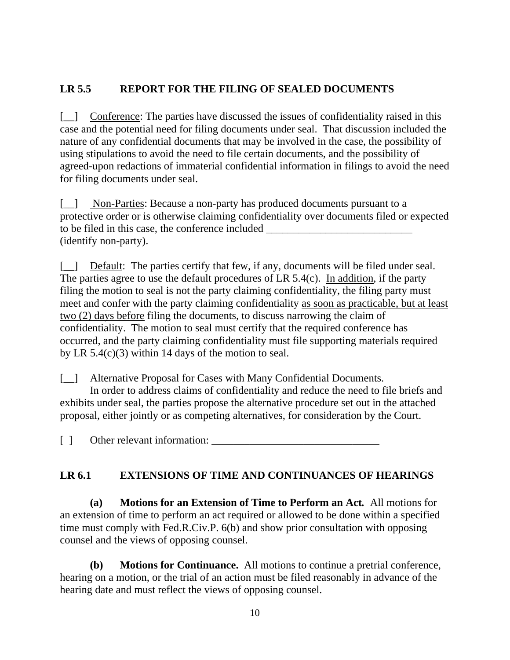## **LR 5.5 REPORT FOR THE FILING OF SEALED DOCUMENTS**

[\_\_] Conference: The parties have discussed the issues of confidentiality raised in this case and the potential need for filing documents under seal. That discussion included the nature of any confidential documents that may be involved in the case, the possibility of using stipulations to avoid the need to file certain documents, and the possibility of agreed-upon redactions of immaterial confidential information in filings to avoid the need for filing documents under seal.

[\_] Non-Parties: Because a non-party has produced documents pursuant to a protective order or is otherwise claiming confidentiality over documents filed or expected to be filed in this case, the conference included (identify non-party).

[\_\_] Default: The parties certify that few, if any, documents will be filed under seal. The parties agree to use the default procedures of LR 5.4(c). In addition, if the party filing the motion to seal is not the party claiming confidentiality, the filing party must meet and confer with the party claiming confidentiality as soon as practicable, but at least two (2) days before filing the documents, to discuss narrowing the claim of confidentiality. The motion to seal must certify that the required conference has occurred, and the party claiming confidentiality must file supporting materials required by LR 5.4(c)(3) within 14 days of the motion to seal.

[\_\_] Alternative Proposal for Cases with Many Confidential Documents. In order to address claims of confidentiality and reduce the need to file briefs and exhibits under seal, the parties propose the alternative procedure set out in the attached

proposal, either jointly or as competing alternatives, for consideration by the Court.

[ ] Other relevant information:

## **LR 6.1 EXTENSIONS OF TIME AND CONTINUANCES OF HEARINGS**

**(a) Motions for an Extension of Time to Perform an Act***.* All motions for an extension of time to perform an act required or allowed to be done within a specified time must comply with Fed.R.Civ.P. 6(b) and show prior consultation with opposing counsel and the views of opposing counsel.

**(b) Motions for Continuance.** All motions to continue a pretrial conference, hearing on a motion, or the trial of an action must be filed reasonably in advance of the hearing date and must reflect the views of opposing counsel.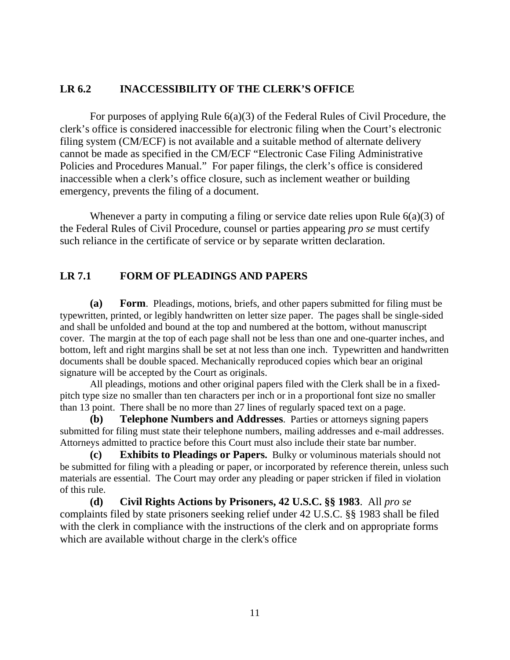## **LR 6.2 INACCESSIBILITY OF THE CLERK'S OFFICE**

 For purposes of applying Rule 6(a)(3) of the Federal Rules of Civil Procedure, the clerk's office is considered inaccessible for electronic filing when the Court's electronic filing system (CM/ECF) is not available and a suitable method of alternate delivery cannot be made as specified in the CM/ECF "Electronic Case Filing Administrative Policies and Procedures Manual." For paper filings, the clerk's office is considered inaccessible when a clerk's office closure, such as inclement weather or building emergency, prevents the filing of a document.

 Whenever a party in computing a filing or service date relies upon Rule 6(a)(3) of the Federal Rules of Civil Procedure, counsel or parties appearing *pro se* must certify such reliance in the certificate of service or by separate written declaration.

## **LR 7.1 FORM OF PLEADINGS AND PAPERS**

**(a) Form**. Pleadings, motions, briefs, and other papers submitted for filing must be typewritten, printed, or legibly handwritten on letter size paper. The pages shall be single-sided and shall be unfolded and bound at the top and numbered at the bottom, without manuscript cover. The margin at the top of each page shall not be less than one and one-quarter inches, and bottom, left and right margins shall be set at not less than one inch. Typewritten and handwritten documents shall be double spaced. Mechanically reproduced copies which bear an original signature will be accepted by the Court as originals.

 All pleadings, motions and other original papers filed with the Clerk shall be in a fixedpitch type size no smaller than ten characters per inch or in a proportional font size no smaller than 13 point. There shall be no more than 27 lines of regularly spaced text on a page.

**(b) Telephone Numbers and Addresses**. Parties or attorneys signing papers submitted for filing must state their telephone numbers, mailing addresses and e-mail addresses. Attorneys admitted to practice before this Court must also include their state bar number.

**(c) Exhibits to Pleadings or Papers.** Bulky or voluminous materials should not be submitted for filing with a pleading or paper, or incorporated by reference therein, unless such materials are essential. The Court may order any pleading or paper stricken if filed in violation of this rule.

**(d) Civil Rights Actions by Prisoners, 42 U.S.C. §§ 1983**. All *pro se* complaints filed by state prisoners seeking relief under 42 U.S.C. §§ 1983 shall be filed with the clerk in compliance with the instructions of the clerk and on appropriate forms which are available without charge in the clerk's office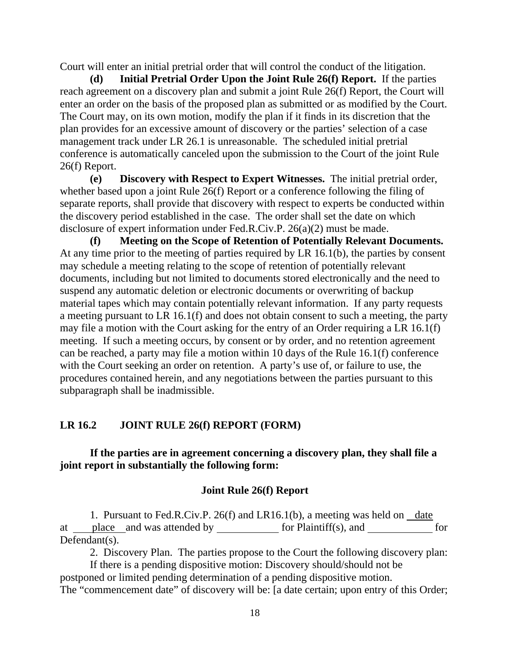Court will enter an initial pretrial order that will control the conduct of the litigation.

**(d) Initial Pretrial Order Upon the Joint Rule 26(f) Report.** If the parties reach agreement on a discovery plan and submit a joint Rule 26(f) Report, the Court will enter an order on the basis of the proposed plan as submitted or as modified by the Court. The Court may, on its own motion, modify the plan if it finds in its discretion that the plan provides for an excessive amount of discovery or the parties' selection of a case management track under LR 26.1 is unreasonable. The scheduled initial pretrial conference is automatically canceled upon the submission to the Court of the joint Rule 26(f) Report.

**(e) Discovery with Respect to Expert Witnesses.** The initial pretrial order, whether based upon a joint Rule 26(f) Report or a conference following the filing of separate reports, shall provide that discovery with respect to experts be conducted within the discovery period established in the case. The order shall set the date on which disclosure of expert information under Fed.R.Civ.P. 26(a)(2) must be made.

**(f) Meeting on the Scope of Retention of Potentially Relevant Documents.** At any time prior to the meeting of parties required by LR 16.1(b), the parties by consent may schedule a meeting relating to the scope of retention of potentially relevant documents, including but not limited to documents stored electronically and the need to suspend any automatic deletion or electronic documents or overwriting of backup material tapes which may contain potentially relevant information. If any party requests a meeting pursuant to LR 16.1(f) and does not obtain consent to such a meeting, the party may file a motion with the Court asking for the entry of an Order requiring a LR 16.1(f) meeting. If such a meeting occurs, by consent or by order, and no retention agreement can be reached, a party may file a motion within 10 days of the Rule 16.1(f) conference with the Court seeking an order on retention. A party's use of, or failure to use, the procedures contained herein, and any negotiations between the parties pursuant to this subparagraph shall be inadmissible.

### **LR 16.2 JOINT RULE 26(f) REPORT (FORM)**

### **If the parties are in agreement concerning a discovery plan, they shall file a joint report in substantially the following form:**

#### **Joint Rule 26(f) Report**

1. Pursuant to Fed.R.Civ.P. 26(f) and LR16.1(b), a meeting was held on  $\Delta t$ at  $\frac{\text{place}}{\text{place}}$  and was attended by  $\frac{\text{for } \text{Plaintiff}(s)}{\text{for}}$  for Defendant(s).

2. Discovery Plan. The parties propose to the Court the following discovery plan:

 If there is a pending dispositive motion: Discovery should/should not be postponed or limited pending determination of a pending dispositive motion. The "commencement date" of discovery will be: [a date certain; upon entry of this Order;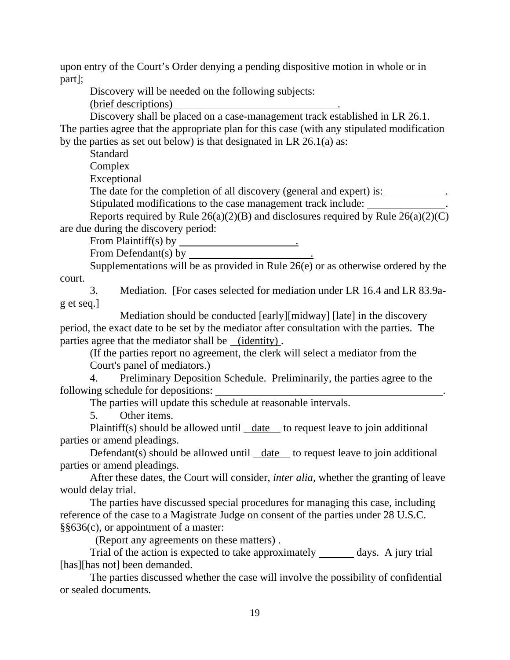upon entry of the Court's Order denying a pending dispositive motion in whole or in part];

Discovery will be needed on the following subjects:

(brief descriptions) .

 Discovery shall be placed on a case-management track established in LR 26.1. The parties agree that the appropriate plan for this case (with any stipulated modification by the parties as set out below) is that designated in LR 26.1(a) as:

**Standard** 

Complex

Exceptional

The date for the completion of all discovery (general and expert) is: \_\_\_\_\_\_\_\_\_\_\_.

Stipulated modifications to the case management track include: .

Reports required by Rule  $26(a)(2)(B)$  and disclosures required by Rule  $26(a)(2)(C)$ are due during the discovery period:

From Plaintiff(s) by .

From Defendant(s) by .

Supplementations will be as provided in Rule  $26(e)$  or as otherwise ordered by the court.

 3. Mediation. [For cases selected for mediation under LR 16.4 and LR 83.9ag et seq.]

 Mediation should be conducted [early][midway] [late] in the discovery period, the exact date to be set by the mediator after consultation with the parties. The parties agree that the mediator shall be (identity) .

(If the parties report no agreement, the clerk will select a mediator from the Court's panel of mediators.)

 4. Preliminary Deposition Schedule. Preliminarily, the parties agree to the following schedule for depositions: .

The parties will update this schedule at reasonable intervals.

5. Other items.

 Plaintiff(s) should be allowed until date to request leave to join additional parties or amend pleadings.

Defendant(s) should be allowed until date to request leave to join additional parties or amend pleadings.

 After these dates, the Court will consider, *inter alia,* whether the granting of leave would delay trial.

 The parties have discussed special procedures for managing this case, including reference of the case to a Magistrate Judge on consent of the parties under 28 U.S.C. §§636(c), or appointment of a master:

(Report any agreements on these matters) .

Trial of the action is expected to take approximately \_\_\_\_\_\_ days. A jury trial [has][has not] been demanded.

 The parties discussed whether the case will involve the possibility of confidential or sealed documents.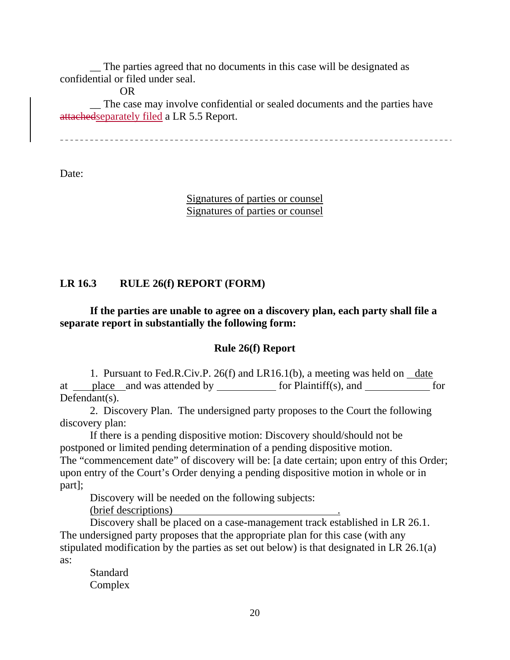\_\_ The parties agreed that no documents in this case will be designated as confidential or filed under seal.

OR

 \_\_ The case may involve confidential or sealed documents and the parties have attachedseparately filed a LR 5.5 Report.

Date:

Signatures of parties or counsel Signatures of parties or counsel

### **LR 16.3 RULE 26(f) REPORT (FORM)**

## **If the parties are unable to agree on a discovery plan, each party shall file a separate report in substantially the following form:**

### **Rule 26(f) Report**

1. Pursuant to Fed.R.Civ.P. 26(f) and LR16.1(b), a meeting was held on  $\Delta t$ at place and was attended by for Plaintiff(s), and for Defendant(s).

2. Discovery Plan. The undersigned party proposes to the Court the following discovery plan:

If there is a pending dispositive motion: Discovery should/should not be postponed or limited pending determination of a pending dispositive motion. The "commencement date" of discovery will be: [a date certain; upon entry of this Order; upon entry of the Court's Order denying a pending dispositive motion in whole or in part];

Discovery will be needed on the following subjects:

(brief descriptions)

Discovery shall be placed on a case-management track established in LR 26.1. The undersigned party proposes that the appropriate plan for this case (with any stipulated modification by the parties as set out below) is that designated in LR 26.1(a) as:

Standard Complex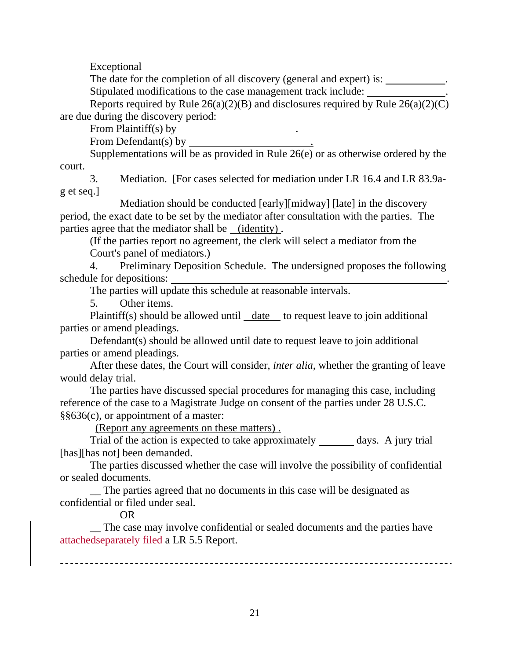Exceptional

The date for the completion of all discovery (general and expert) is: \_\_\_\_\_\_\_\_\_\_.

Stipulated modifications to the case management track include: .

Reports required by Rule  $26(a)(2)(B)$  and disclosures required by Rule  $26(a)(2)(C)$ are due during the discovery period:

From Plaintiff(s) by

From Defendant(s) by .

Supplementations will be as provided in Rule  $26(e)$  or as otherwise ordered by the court.

3. Mediation. [For cases selected for mediation under LR 16.4 and LR 83.9ag et seq.]

Mediation should be conducted [early][midway] [late] in the discovery period, the exact date to be set by the mediator after consultation with the parties. The parties agree that the mediator shall be (identity) .

(If the parties report no agreement, the clerk will select a mediator from the Court's panel of mediators.)

4. Preliminary Deposition Schedule. The undersigned proposes the following schedule for depositions: .

The parties will update this schedule at reasonable intervals.

5. Other items.

Plaintiff(s) should be allowed until  $\_\_\_\_\_\_\_\_\_\_\_\_\_\_\_\_\_\_\_\_\_\_\_\_\_\_\_\_\_\_\_\_\_\_\.\_$ parties or amend pleadings.

Defendant(s) should be allowed until date to request leave to join additional parties or amend pleadings.

After these dates, the Court will consider, *inter alia,* whether the granting of leave would delay trial.

The parties have discussed special procedures for managing this case, including reference of the case to a Magistrate Judge on consent of the parties under 28 U.S.C. §§636(c), or appointment of a master:

(Report any agreements on these matters) .

Trial of the action is expected to take approximately days. A jury trial [has][has not] been demanded.

The parties discussed whether the case will involve the possibility of confidential or sealed documents.

\_\_ The parties agreed that no documents in this case will be designated as confidential or filed under seal.

OR

 \_\_ The case may involve confidential or sealed documents and the parties have attachedseparately filed a LR 5.5 Report.